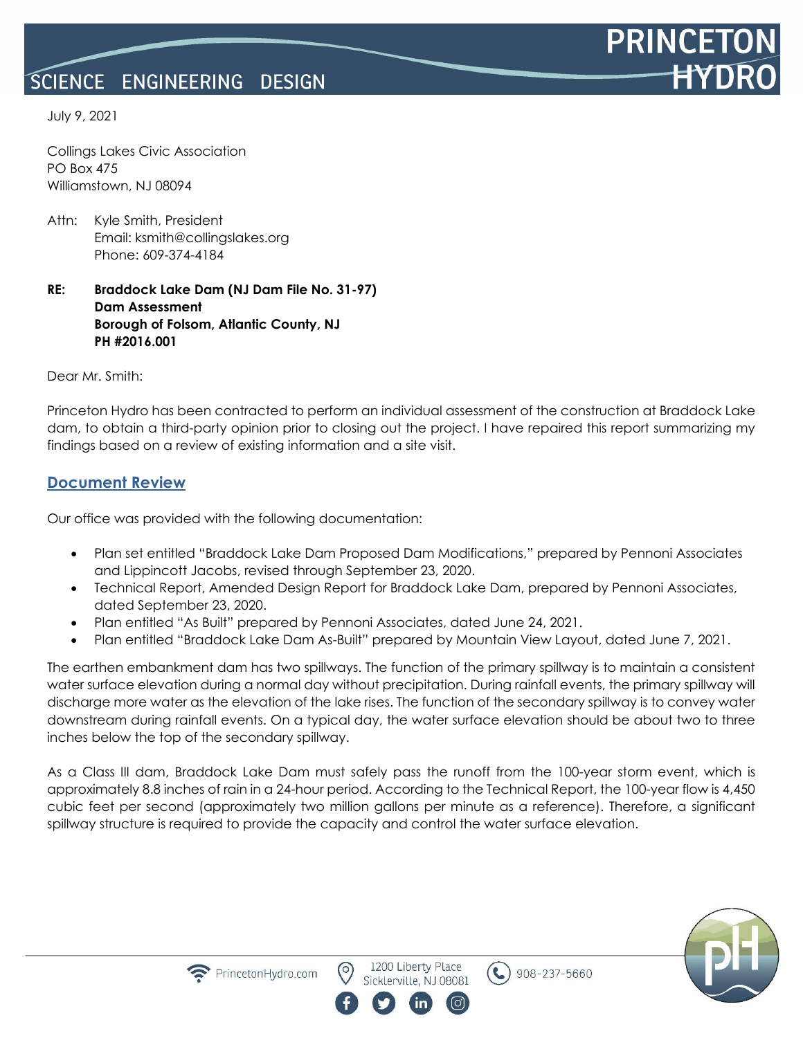#### SCIENCE ENGINEERING **DESIGN**



Collings Lakes Civic Association PO Box 475 Williamstown, NJ 08094

Attn: Kyle Smith, President Email: ksmith@collingslakes.org Phone: 609-374-4184

#### **RE: Braddock Lake Dam (NJ Dam File No. 31-97) Dam Assessment Borough of Folsom, Atlantic County, NJ PH #2016.001**

Dear Mr. Smith:

Princeton Hydro has been contracted to perform an individual assessment of the construction at Braddock Lake dam, to obtain a third-party opinion prior to closing out the project. I have repaired this report summarizing my findings based on a review of existing information and a site visit.

### **Document Review**

Our office was provided with the following documentation:

- Plan set entitled "Braddock Lake Dam Proposed Dam Modifications," prepared by Pennoni Associates and Lippincott Jacobs, revised through September 23, 2020.
- Technical Report, Amended Design Report for Braddock Lake Dam, prepared by Pennoni Associates, dated September 23, 2020.
- Plan entitled "As Built" prepared by Pennoni Associates, dated June 24, 2021.
- Plan entitled "Braddock Lake Dam As-Built" prepared by Mountain View Layout, dated June 7, 2021.

The earthen embankment dam has two spillways. The function of the primary spillway is to maintain a consistent water surface elevation during a normal day without precipitation. During rainfall events, the primary spillway will discharge more water as the elevation of the lake rises. The function of the secondary spillway is to convey water downstream during rainfall events. On a typical day, the water surface elevation should be about two to three inches below the top of the secondary spillway.

As a Class III dam, Braddock Lake Dam must safely pass the runoff from the 100-year storm event, which is approximately 8.8 inches of rain in a 24-hour period. According to the Technical Report, the 100-year flow is 4,450 cubic feet per second (approximately two million gallons per minute as a reference). Therefore, a significant spillway structure is required to provide the capacity and control the water surface elevation.



**PRINCE** 



1200 Liberty Place Sicklerville, NJ 08081

 $\epsilon$ 

908-237-5660

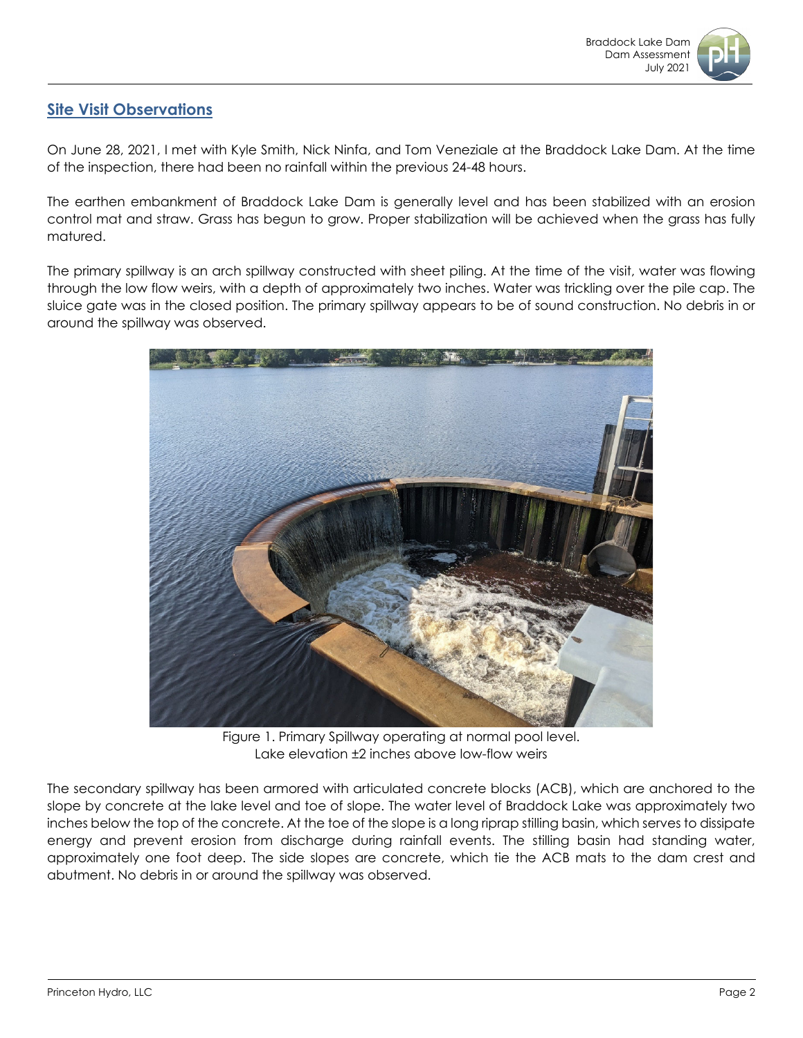

# **Site Visit Observations**

On June 28, 2021, I met with Kyle Smith, Nick Ninfa, and Tom Veneziale at the Braddock Lake Dam. At the time of the inspection, there had been no rainfall within the previous 24-48 hours.

The earthen embankment of Braddock Lake Dam is generally level and has been stabilized with an erosion control mat and straw. Grass has begun to grow. Proper stabilization will be achieved when the grass has fully matured.

The primary spillway is an arch spillway constructed with sheet piling. At the time of the visit, water was flowing through the low flow weirs, with a depth of approximately two inches. Water was trickling over the pile cap. The sluice gate was in the closed position. The primary spillway appears to be of sound construction. No debris in or around the spillway was observed.



Figure 1. Primary Spillway operating at normal pool level. Lake elevation ±2 inches above low-flow weirs

The secondary spillway has been armored with articulated concrete blocks (ACB), which are anchored to the slope by concrete at the lake level and toe of slope. The water level of Braddock Lake was approximately two inches below the top of the concrete. At the toe of the slope is a long riprap stilling basin, which serves to dissipate energy and prevent erosion from discharge during rainfall events. The stilling basin had standing water, approximately one foot deep. The side slopes are concrete, which tie the ACB mats to the dam crest and abutment. No debris in or around the spillway was observed.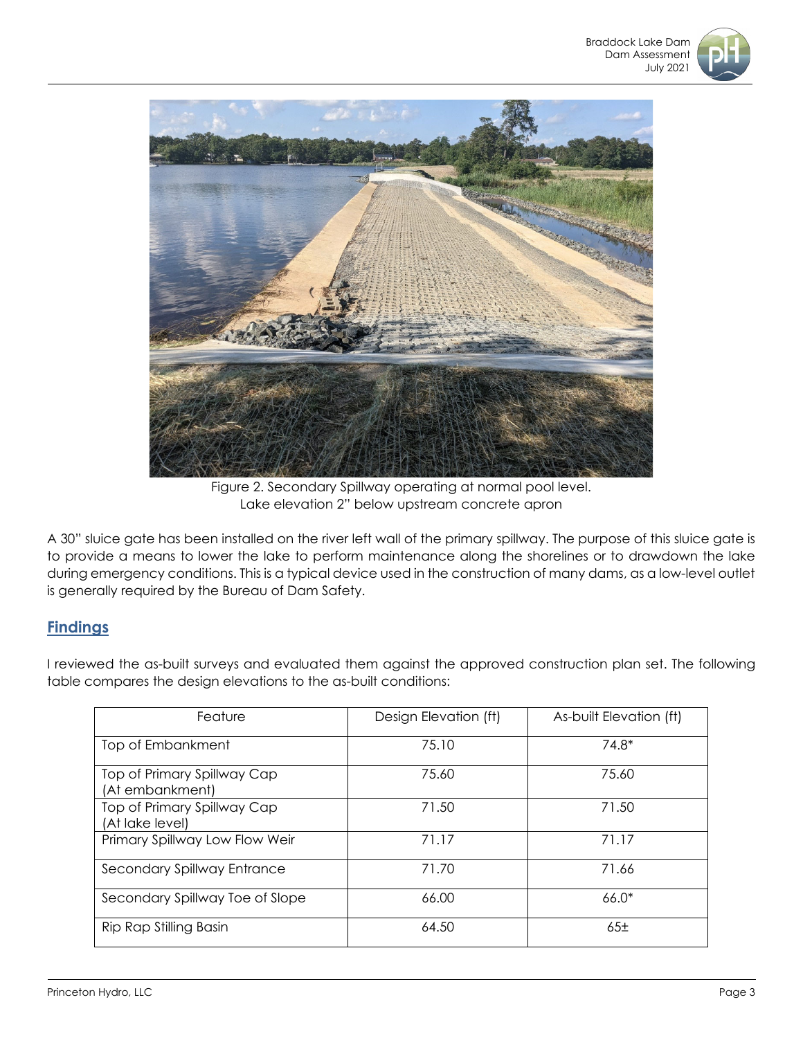



Figure 2. Secondary Spillway operating at normal pool level. Lake elevation 2" below upstream concrete apron

A 30" sluice gate has been installed on the river left wall of the primary spillway. The purpose of this sluice gate is to provide a means to lower the lake to perform maintenance along the shorelines or to drawdown the lake during emergency conditions. This is a typical device used in the construction of many dams, as a low-level outlet is generally required by the Bureau of Dam Safety.

# **Findings**

I reviewed the as-built surveys and evaluated them against the approved construction plan set. The following table compares the design elevations to the as-built conditions:

| Feature                                        | Design Elevation (ft) | As-built Elevation (ft) |
|------------------------------------------------|-----------------------|-------------------------|
| Top of Embankment                              | 75.10                 | $74.8*$                 |
| Top of Primary Spillway Cap<br>(At embankment) | 75.60                 | 75.60                   |
| Top of Primary Spillway Cap<br>(At lake level) | 71.50                 | 71.50                   |
| Primary Spillway Low Flow Weir                 | 71.17                 | 71.17                   |
| Secondary Spillway Entrance                    | 71.70                 | 71.66                   |
| Secondary Spillway Toe of Slope                | 66.00                 | $66.0*$                 |
| Rip Rap Stilling Basin                         | 64.50                 | 65 <sub>±</sub>         |